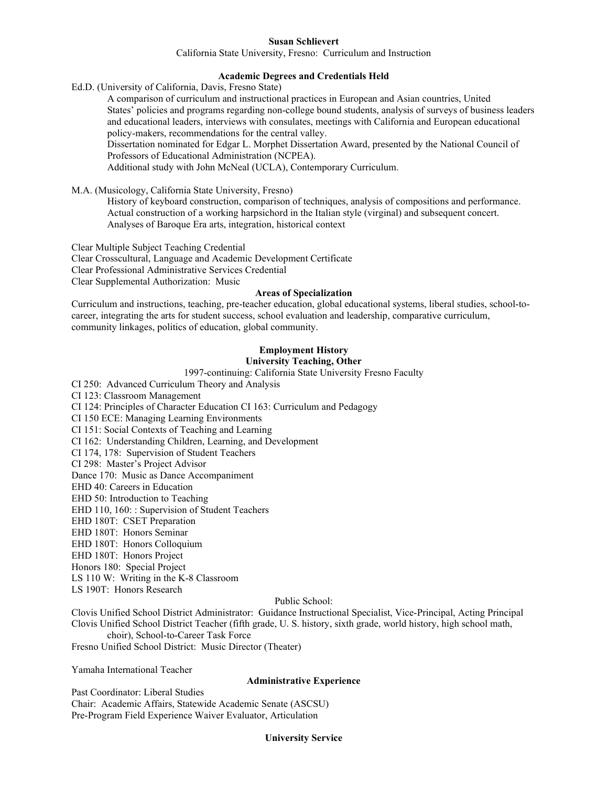### **Susan Schlievert**

California State University, Fresno: Curriculum and Instruction

## **Academic Degrees and Credentials Held**

Ed.D. (University of California, Davis, Fresno State)

A comparison of curriculum and instructional practices in European and Asian countries, United States' policies and programs regarding non-college bound students, analysis of surveys of business leaders and educational leaders, interviews with consulates, meetings with California and European educational policy-makers, recommendations for the central valley.

Dissertation nominated for Edgar L. Morphet Dissertation Award, presented by the National Council of Professors of Educational Administration (NCPEA).

Additional study with John McNeal (UCLA), Contemporary Curriculum.

M.A. (Musicology, California State University, Fresno)

History of keyboard construction, comparison of techniques, analysis of compositions and performance. Actual construction of a working harpsichord in the Italian style (virginal) and subsequent concert. Analyses of Baroque Era arts, integration, historical context

Clear Multiple Subject Teaching Credential Clear Crosscultural, Language and Academic Development Certificate Clear Professional Administrative Services Credential Clear Supplemental Authorization: Music

#### **Areas of Specialization**

Curriculum and instructions, teaching, pre-teacher education, global educational systems, liberal studies, school-tocareer, integrating the arts for student success, school evaluation and leadership, comparative curriculum, community linkages, politics of education, global community.

# **Employment History**

# **University Teaching, Other**

1997-continuing: California State University Fresno Faculty

CI 250: Advanced Curriculum Theory and Analysis

CI 123: Classroom Management

CI 124: Principles of Character Education CI 163: Curriculum and Pedagogy

CI 150 ECE: Managing Learning Environments

CI 151: Social Contexts of Teaching and Learning

CI 162: Understanding Children, Learning, and Development

CI 174, 178: Supervision of Student Teachers

CI 298: Master's Project Advisor

Dance 170: Music as Dance Accompaniment

EHD 40: Careers in Education

EHD 50: Introduction to Teaching

EHD 110, 160: : Supervision of Student Teachers

EHD 180T: CSET Preparation

EHD 180T: Honors Seminar

EHD 180T: Honors Colloquium

EHD 180T: Honors Project

Honors 180: Special Project

LS 110 W: Writing in the K-8 Classroom

LS 190T: Honors Research

## Public School:

Clovis Unified School District Administrator: Guidance Instructional Specialist, Vice-Principal, Acting Principal Clovis Unified School District Teacher (fifth grade, U. S. history, sixth grade, world history, high school math, choir), School-to-Career Task Force

Fresno Unified School District: Music Director (Theater)

Yamaha International Teacher

#### **Administrative Experience**

Past Coordinator: Liberal Studies Chair: Academic Affairs, Statewide Academic Senate (ASCSU) Pre-Program Field Experience Waiver Evaluator, Articulation

#### **University Service**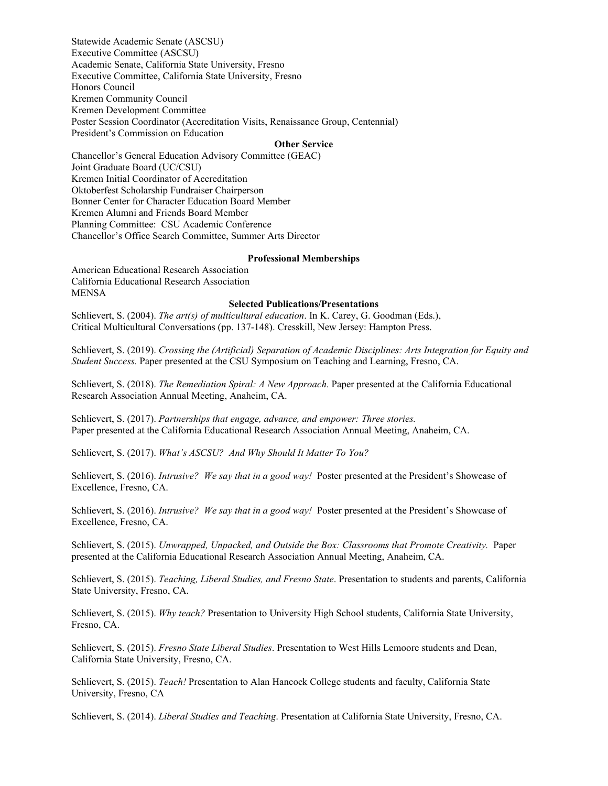Statewide Academic Senate (ASCSU) Executive Committee (ASCSU) Academic Senate, California State University, Fresno Executive Committee, California State University, Fresno Honors Council Kremen Community Council Kremen Development Committee Poster Session Coordinator (Accreditation Visits, Renaissance Group, Centennial) President's Commission on Education

#### **Other Service**

Chancellor's General Education Advisory Committee (GEAC) Joint Graduate Board (UC/CSU) Kremen Initial Coordinator of Accreditation Oktoberfest Scholarship Fundraiser Chairperson Bonner Center for Character Education Board Member Kremen Alumni and Friends Board Member Planning Committee: CSU Academic Conference Chancellor's Office Search Committee, Summer Arts Director

#### **Professional Memberships**

American Educational Research Association California Educational Research Association MENSA

### **Selected Publications/Presentations**

Schlievert, S. (2004). *The art(s) of multicultural education*. In K. Carey, G. Goodman (Eds.), Critical Multicultural Conversations (pp. 137-148). Cresskill, New Jersey: Hampton Press.

Schlievert, S. (2019). *Crossing the (Artificial) Separation of Academic Disciplines: Arts Integration for Equity and Student Success.* Paper presented at the CSU Symposium on Teaching and Learning, Fresno, CA.

Schlievert, S. (2018). *The Remediation Spiral: A New Approach.* Paper presented at the California Educational Research Association Annual Meeting, Anaheim, CA.

Schlievert, S. (2017). *Partnerships that engage, advance, and empower: Three stories.* Paper presented at the California Educational Research Association Annual Meeting, Anaheim, CA.

Schlievert, S. (2017). *What's ASCSU? And Why Should It Matter To You?*

Schlievert, S. (2016). *Intrusive? We say that in a good way!* Poster presented at the President's Showcase of Excellence, Fresno, CA.

Schlievert, S. (2016). *Intrusive? We say that in a good way!* Poster presented at the President's Showcase of Excellence, Fresno, CA.

Schlievert, S. (2015). *Unwrapped, Unpacked, and Outside the Box: Classrooms that Promote Creativity*. Paper presented at the California Educational Research Association Annual Meeting, Anaheim, CA.

Schlievert, S. (2015). *Teaching, Liberal Studies, and Fresno State*. Presentation to students and parents, California State University, Fresno, CA.

Schlievert, S. (2015). *Why teach?* Presentation to University High School students, California State University, Fresno, CA.

Schlievert, S. (2015). *Fresno State Liberal Studies*. Presentation to West Hills Lemoore students and Dean, California State University, Fresno, CA.

Schlievert, S. (2015). *Teach!* Presentation to Alan Hancock College students and faculty, California State University, Fresno, CA

Schlievert, S. (2014). *Liberal Studies and Teaching*. Presentation at California State University, Fresno, CA.